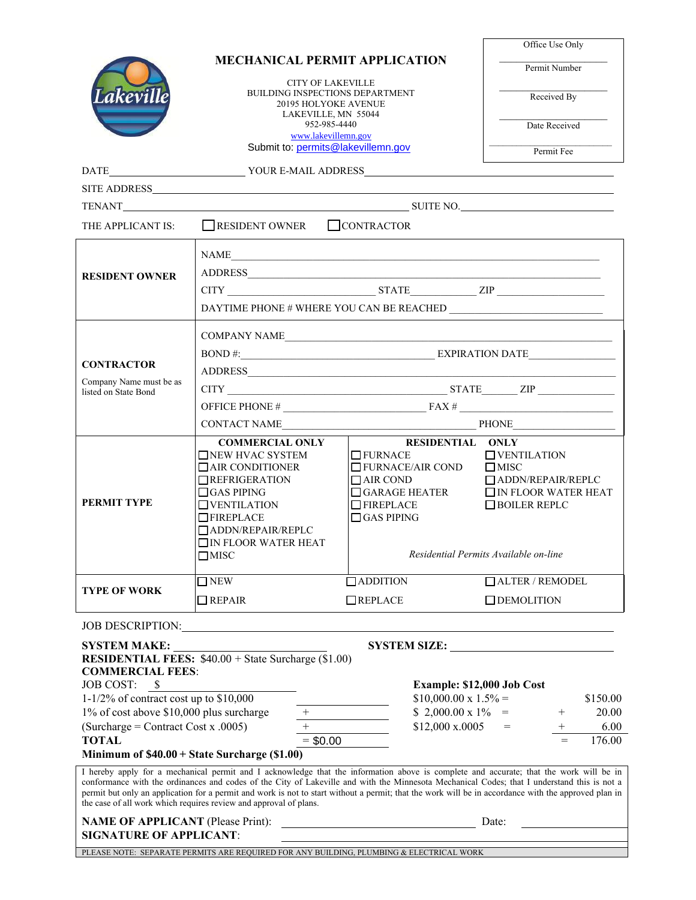|                                                                                                                           | <b>MECHANICAL PERMIT APPLICATION</b><br><b>CITY OF LAKEVILLE</b><br><b>BUILDING INSPECTIONS DEPARTMENT</b><br>20195 HOLYOKE AVENUE                                                                                                                                                                                                                                                                                                                                                                                 |                                                                                                                     | Office Use Only                                        |  |  |
|---------------------------------------------------------------------------------------------------------------------------|--------------------------------------------------------------------------------------------------------------------------------------------------------------------------------------------------------------------------------------------------------------------------------------------------------------------------------------------------------------------------------------------------------------------------------------------------------------------------------------------------------------------|---------------------------------------------------------------------------------------------------------------------|--------------------------------------------------------|--|--|
|                                                                                                                           |                                                                                                                                                                                                                                                                                                                                                                                                                                                                                                                    |                                                                                                                     | Permit Number                                          |  |  |
| Lakeville                                                                                                                 |                                                                                                                                                                                                                                                                                                                                                                                                                                                                                                                    |                                                                                                                     | Received By                                            |  |  |
|                                                                                                                           | LAKEVILLE, MN 55044<br>952-985-4440                                                                                                                                                                                                                                                                                                                                                                                                                                                                                |                                                                                                                     |                                                        |  |  |
|                                                                                                                           | www.lakevillemn.gov                                                                                                                                                                                                                                                                                                                                                                                                                                                                                                |                                                                                                                     | Date Received                                          |  |  |
|                                                                                                                           | Submit to: permits@lakevillemn.gov                                                                                                                                                                                                                                                                                                                                                                                                                                                                                 |                                                                                                                     | Permit Fee                                             |  |  |
| <b>DATE</b>                                                                                                               |                                                                                                                                                                                                                                                                                                                                                                                                                                                                                                                    |                                                                                                                     |                                                        |  |  |
|                                                                                                                           |                                                                                                                                                                                                                                                                                                                                                                                                                                                                                                                    |                                                                                                                     |                                                        |  |  |
|                                                                                                                           |                                                                                                                                                                                                                                                                                                                                                                                                                                                                                                                    |                                                                                                                     |                                                        |  |  |
| THE APPLICANT IS:                                                                                                         | RESIDENT OWNER CONTRACTOR                                                                                                                                                                                                                                                                                                                                                                                                                                                                                          |                                                                                                                     |                                                        |  |  |
|                                                                                                                           | NAME                                                                                                                                                                                                                                                                                                                                                                                                                                                                                                               |                                                                                                                     |                                                        |  |  |
| <b>RESIDENT OWNER</b>                                                                                                     | ADDRESS                                                                                                                                                                                                                                                                                                                                                                                                                                                                                                            |                                                                                                                     |                                                        |  |  |
|                                                                                                                           | $CITY$ $ZIP$                                                                                                                                                                                                                                                                                                                                                                                                                                                                                                       |                                                                                                                     |                                                        |  |  |
|                                                                                                                           | DAYTIME PHONE # WHERE YOU CAN BE REACHED                                                                                                                                                                                                                                                                                                                                                                                                                                                                           |                                                                                                                     |                                                        |  |  |
|                                                                                                                           |                                                                                                                                                                                                                                                                                                                                                                                                                                                                                                                    |                                                                                                                     |                                                        |  |  |
| <b>CONTRACTOR</b><br>Company Name must be as<br>listed on State Bond                                                      | COMPANY NAME_                                                                                                                                                                                                                                                                                                                                                                                                                                                                                                      |                                                                                                                     |                                                        |  |  |
|                                                                                                                           |                                                                                                                                                                                                                                                                                                                                                                                                                                                                                                                    |                                                                                                                     |                                                        |  |  |
|                                                                                                                           | $CITY$ $ZIP$                                                                                                                                                                                                                                                                                                                                                                                                                                                                                                       |                                                                                                                     |                                                        |  |  |
|                                                                                                                           |                                                                                                                                                                                                                                                                                                                                                                                                                                                                                                                    |                                                                                                                     |                                                        |  |  |
|                                                                                                                           | CONTACT NAME<br>PHONE PHONE                                                                                                                                                                                                                                                                                                                                                                                                                                                                                        |                                                                                                                     |                                                        |  |  |
|                                                                                                                           | <b>COMMERCIAL ONLY</b>                                                                                                                                                                                                                                                                                                                                                                                                                                                                                             | <b>RESIDENTIAL ONLY</b>                                                                                             |                                                        |  |  |
| PERMIT TYPE                                                                                                               | NEW HVAC SYSTEM<br><b>TAIR CONDITIONER</b>                                                                                                                                                                                                                                                                                                                                                                                                                                                                         | $\Box$ FURNACE<br>$\Box$ FURNACE/AIR COND                                                                           | $\Box$ VENTILATION<br>$\Box$ MISC                      |  |  |
|                                                                                                                           | $\Box$ REFRIGERATION<br>$\Box$ GAS PIPING                                                                                                                                                                                                                                                                                                                                                                                                                                                                          | $\Box$ AIR COND<br>$\Box$ GARAGE HEATER                                                                             | $\Box$ ADDN/REPAIR/REPLC<br>$\Box$ IN FLOOR WATER HEAT |  |  |
|                                                                                                                           | $\Box$ VENTILATION                                                                                                                                                                                                                                                                                                                                                                                                                                                                                                 | $\Box$ FIREPLACE                                                                                                    | $\Box$ BOILER REPLC                                    |  |  |
|                                                                                                                           | $\Box$ FIREPLACE<br>ADDN/REPAIR/REPLC                                                                                                                                                                                                                                                                                                                                                                                                                                                                              | $\Box$ GAS PIPING                                                                                                   |                                                        |  |  |
|                                                                                                                           | $\square$ IN FLOOR WATER HEAT                                                                                                                                                                                                                                                                                                                                                                                                                                                                                      |                                                                                                                     |                                                        |  |  |
|                                                                                                                           | $\Box$ MISC                                                                                                                                                                                                                                                                                                                                                                                                                                                                                                        | Residential Permits Available on-line                                                                               |                                                        |  |  |
| <b>TYPE OF WORK</b>                                                                                                       | $\Box$ NEW                                                                                                                                                                                                                                                                                                                                                                                                                                                                                                         | $\Box$ ADDITION                                                                                                     | ALTER / REMODEL                                        |  |  |
|                                                                                                                           | $\Box$ REPAIR                                                                                                                                                                                                                                                                                                                                                                                                                                                                                                      | $\Box$ REPLACE                                                                                                      | $\Box$ DEMOLITION                                      |  |  |
|                                                                                                                           | JOB DESCRIPTION: NORTH PRESCRIPTION:                                                                                                                                                                                                                                                                                                                                                                                                                                                                               |                                                                                                                     |                                                        |  |  |
| <b>SYSTEM MAKE:</b>                                                                                                       |                                                                                                                                                                                                                                                                                                                                                                                                                                                                                                                    |                                                                                                                     | SYSTEM SIZE:                                           |  |  |
| <b>COMMERCIAL FEES:</b>                                                                                                   | <b>RESIDENTIAL FEES:</b> $$40.00 + State Surface (\$1.00)$                                                                                                                                                                                                                                                                                                                                                                                                                                                         |                                                                                                                     |                                                        |  |  |
| <b>JOB COST:</b><br>$^{\circ}$                                                                                            |                                                                                                                                                                                                                                                                                                                                                                                                                                                                                                                    | Example: \$12,000 Job Cost                                                                                          |                                                        |  |  |
| 1-1/2% of contract cost up to $$10,000$                                                                                   | $$10,000.00 \times 1.5\% =$<br>\$150.00                                                                                                                                                                                                                                                                                                                                                                                                                                                                            |                                                                                                                     |                                                        |  |  |
|                                                                                                                           | $\begin{array}{c} +\\ - \end{array}$<br>1% of cost above \$10,000 plus surcharge<br>\$ 2,000.00 x 1\% =<br>20.00<br>$=$                                                                                                                                                                                                                                                                                                                                                                                            |                                                                                                                     |                                                        |  |  |
| $(Surcharge = Contract Cost x .0005)$<br>\$12,000 x.0005<br>6.00<br>$=$ \$0.00<br><b>TOTAL</b><br>176.00<br>$=$           |                                                                                                                                                                                                                                                                                                                                                                                                                                                                                                                    |                                                                                                                     |                                                        |  |  |
| Minimum of \$40.00 + State Surcharge (\$1.00)                                                                             |                                                                                                                                                                                                                                                                                                                                                                                                                                                                                                                    |                                                                                                                     |                                                        |  |  |
|                                                                                                                           | I hereby apply for a mechanical permit and I acknowledge that the information above is complete and accurate; that the work will be in<br>conformance with the ordinances and codes of the City of Lakeville and with the Minnesota Mechanical Codes; that I understand this is not a<br>permit but only an application for a permit and work is not to start without a permit; that the work will be in accordance with the approved plan in<br>the case of all work which requires review and approval of plans. |                                                                                                                     |                                                        |  |  |
| <b>NAME OF APPLICANT</b> (Please Print):                                                                                  |                                                                                                                                                                                                                                                                                                                                                                                                                                                                                                                    | <u> 1980 - Johann Barn, mars eta bainar eta baina eta baina eta baina eta baina eta baina eta baina eta baina e</u> | Date:                                                  |  |  |
| <b>SIGNATURE OF APPLICANT:</b><br>PLEASE NOTE: SEPARATE PERMITS ARE REQUIRED FOR ANY BUILDING, PLUMBING & ELECTRICAL WORK |                                                                                                                                                                                                                                                                                                                                                                                                                                                                                                                    |                                                                                                                     |                                                        |  |  |
|                                                                                                                           |                                                                                                                                                                                                                                                                                                                                                                                                                                                                                                                    |                                                                                                                     |                                                        |  |  |
|                                                                                                                           |                                                                                                                                                                                                                                                                                                                                                                                                                                                                                                                    |                                                                                                                     |                                                        |  |  |